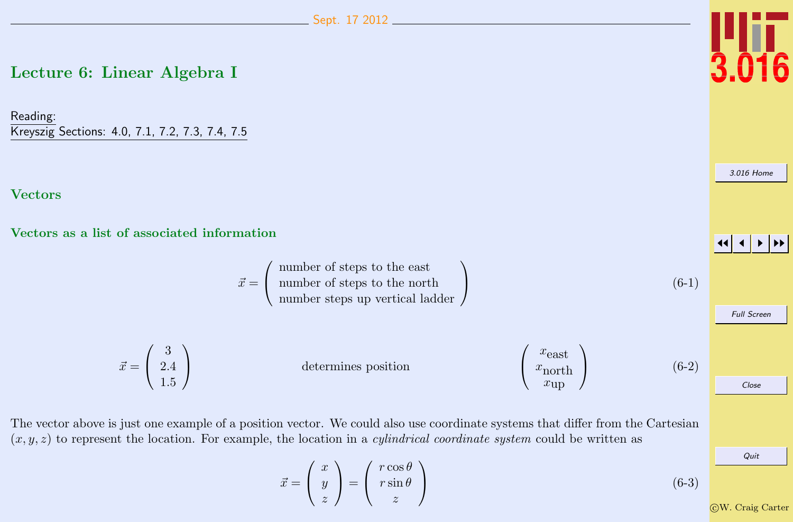## <span id="page-0-0"></span>Lecture 6: Linear Algebra I

Reading: Kreyszig Sections: 4.0, 7.1, 7.2, 7.3, 7.4, 7.5

#### **Vectors**

Vectors as a list of associated information

 $\vec{x}$ 

$$
\vec{x} = \begin{pmatrix}\n\text{number of steps to the east} \\
\text{number steps up vertical ladder} \\
\text{number steps up vertical ladder}\n\end{pmatrix}
$$
\n(6-1)\n
$$
= \begin{pmatrix}\n3 \\
2.4 \\
1.5\n\end{pmatrix}
$$
\ndetermines position\n
$$
\begin{pmatrix}\nx_{\text{east}} \\
x_{\text{north}} \\
x_{\text{up}}\n\end{pmatrix}
$$
\n(6-2)\n
$$
\begin{pmatrix}\n\cos\theta \\
\cos\theta\n\end{pmatrix}
$$

The vector above is just one example of a position vector. We could also use coordinate systems that differ from the Cartesian  $(x, y, z)$  to represent the location. For example, the location in a *cylindrical coordinate system* could be written as

$$
\vec{x} = \begin{pmatrix} x \\ y \\ z \end{pmatrix} = \begin{pmatrix} r \cos \theta \\ r \sin \theta \\ z \end{pmatrix}
$$
 (6-3)

Ī6

[3.016 Home](http://pruffle.mit.edu/3.016-2012/)

JJ J I II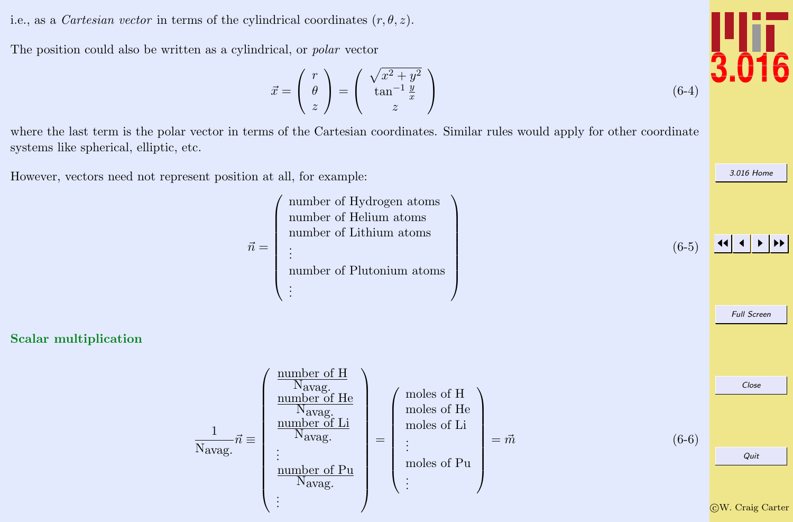<span id="page-1-0"></span>i.e., as a *Cartesian vector* in terms of the cylindrical coordinates  $(r, \theta, z)$ .

The position could also be written as a cylindrical, or polar vector

$$
\vec{x} = \begin{pmatrix} r \\ \theta \\ z \end{pmatrix} = \begin{pmatrix} \sqrt{x^2 + y^2} \\ \tan^{-1} \frac{y}{x} \\ z \end{pmatrix}
$$

where the last term is the polar vector in terms of the Cartesian coordinates. Similar rules would apply for other coordinate systems like spherical, elliptic, etc.

However, vectors need not represent position at all, for example:

Scalar multiplication





[3.016 Home](http://pruffle.mit.edu/3.016-2012/)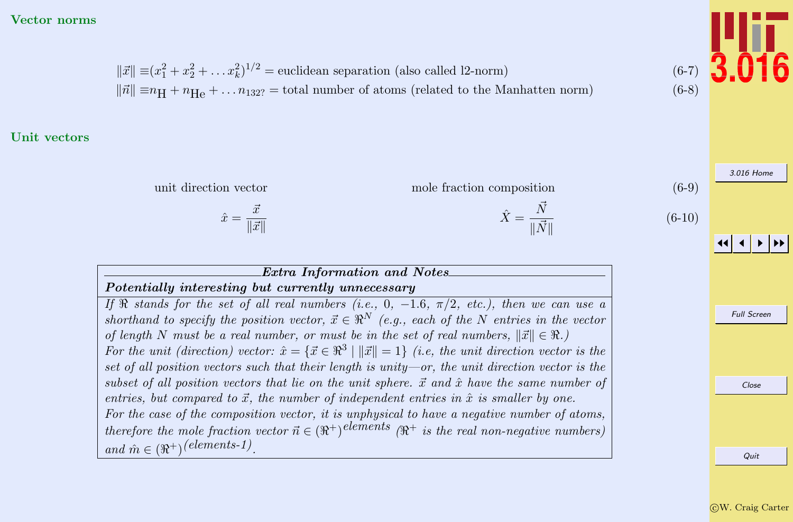#### <span id="page-2-0"></span>Vector norms

 $\|\vec{x}\| \equiv (x_1^2 + x_2^2 + \dots x_k^2)^{1/2} =$  euclidean separation (also called l2-norm) (6-7)  $\|\vec{n}\| \equiv n_H + n_{He} + ... n_{132}$  = total number of atoms (related to the Manhatten norm) (6-8)

#### Unit vectors



#### Extra Information and Notes Potentially interesting but currently unnecessary

If  $\Re$  stands for the set of all real numbers (i.e., 0, -1.6,  $\pi/2$ , etc.), then we can use a shorthand to specify the position vector,  $\vec{x} \in \mathbb{R}^N$  (e.g., each of the N entries in the vector of length N must be a real number, or must be in the set of real numbers,  $\|\vec{x}\| \in \Re$ .) For the unit (direction) vector:  $\hat{x} = \{\vec{x} \in \mathbb{R}^3 \mid ||\vec{x}|| = 1\}$  (i.e, the unit direction vector is the set of all position vectors such that their length is unity—or, the unit direction vector is the subset of all position vectors that lie on the unit sphere.  $\vec{x}$  and  $\hat{x}$  have the same number of entries, but compared to  $\vec{x}$ , the number of independent entries in  $\hat{x}$  is smaller by one. For the case of the composition vector, it is unphysical to have a negative number of atoms, therefore the mole fraction vector  $\vec{n} \in (\Re^+)$  elements  $(\Re^+)$  is the real non-negative numbers) and  $\hat{m} \in (\Re^+)^{(elements-1)}$ .

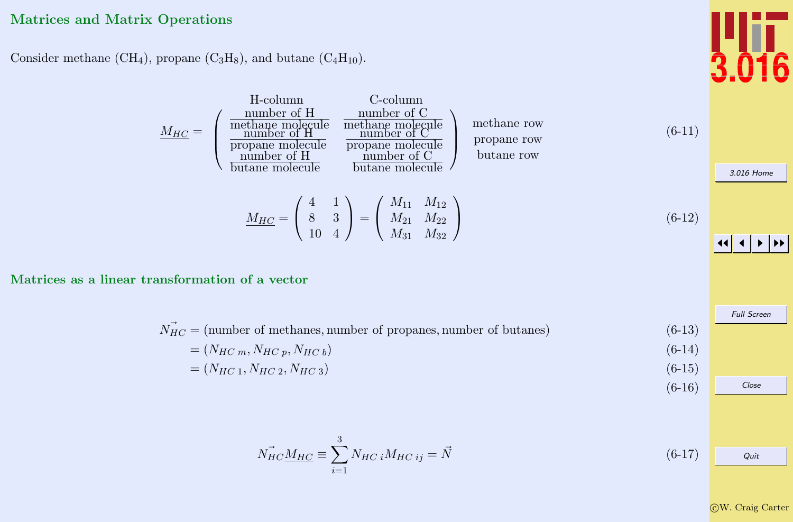## <span id="page-3-0"></span>Matrices and Matrix Operations

Consider methane (CH<sub>4</sub>), propane (C<sub>3</sub>H<sub>8</sub>), and butane (C<sub>4</sub>H<sub>10</sub>).

$$
\underline{M_{HC}} = \begin{pmatrix}\n\text{number of H} & \text{number of C} \\
\text{methane molecule} & \text{methane molecule} \\
\text{propane molecule} & \text{number of C} \\
\text{number of H} & \text{number of C} \\
\text{number of H} & \text{number of C} \\
\text{butane molecule} & \text{butane molecule}\n\end{pmatrix}\n\quad\n\begin{array}{c}\n\text{methane row} \\
\text{propane row} \\
\text{butane row} \\
\text{butane molecule}\n\end{array}\n\quad\n(6-11)
$$
\n
$$
\underline{M_{HC}} = \begin{pmatrix} 4 & 1 \\ 8 & 3 \\ 10 & 4 \end{pmatrix} = \begin{pmatrix} M_{11} & M_{12} \\ M_{21} & M_{22} \\ M_{31} & M_{32} \end{pmatrix}\n\quad\n(6-12)
$$

Matrices as a linear transformation of a vector

 $\Lambda$ 

$$
\vec{N_{HC}} = (\text{number of methods, number of proposals, number of buttons})
$$
\n
$$
= (N_{HCm}, N_{HCp}, N_{HCb})
$$
\n
$$
= (N_{HC1}, N_{HC2}, N_{HC3})
$$
\n(6-14)\n
$$
(6-15)
$$

$$
\vec{N_{HC}} \underline{M_{HC}} \equiv \sum_{i=1}^{3} N_{HC} \, i M_{HC} \, ij = \vec{N} \tag{6-17}
$$

c W. Craig Carter

Quit

Full Screen

Close

(6-16)

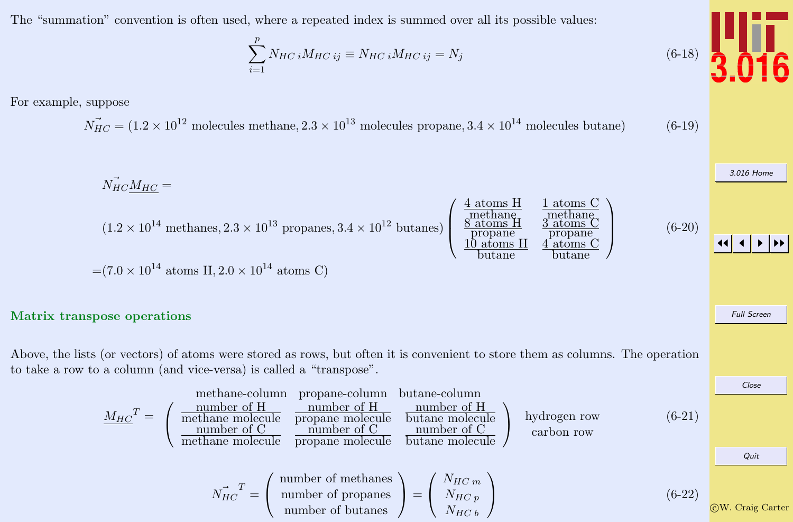<span id="page-4-0"></span>The "summation" convention is often used, where a repeated index is summed over all its possible values:

$$
\sum_{i=1}^{p} N_{HC}{}_{i}M_{HC}{}_{ij} \equiv N_{HC}{}_{i}M_{HC}{}_{ij} = N_{j}
$$
\n(6-18)

For example, suppose

$$
\vec{N_{HC}} = (1.2 \times 10^{12} \text{ molecules methane}, 2.3 \times 10^{13} \text{ molecules propane}, 3.4 \times 10^{14} \text{ molecules butane})
$$
 (6-19)

$$
\vec{N_{HC}M_{HC}} =
$$
\n
$$
(1.2 \times 10^{14} \text{ methods}, 2.3 \times 10^{13} \text{ proposals}, 3.4 \times 10^{12} \text{ buttons}) \begin{pmatrix} \frac{4 \text{ atoms H}}{\text{methane}} & \frac{1 \text{ atoms C}}{\text{methane}} \\ \frac{8 \text{ atoms H}}{\text{propanel}} & \frac{3 \text{ atoms C}}{\text{propanel}} \\ \frac{10 \text{ atoms H}}{\text{butane}} & \frac{4 \text{ atoms C}}{\text{butane}} \end{pmatrix}
$$
\n(6-20)

 $\blacktriangleright$   $\blacktriangleright$ 

**16** 

Full Screen

Close

$$
=(7.0 \times 10^{14} \text{ atoms H}, 2.0 \times 10^{14} \text{ atoms C})
$$

#### Matrix transpose operations

Above, the lists (or vectors) of atoms were stored as rows, but often it is convenient to store them as columns. The operation to take a row to a column (and vice-versa) is called a "transpose".

| methane-column    | propane-column                                       | butane-column                                  |                                               |                                 |                                          |        |
|-------------------|------------------------------------------------------|------------------------------------------------|-----------------------------------------------|---------------------------------|------------------------------------------|--------|
| $M_{HC}^T =$      | number of H<br>number of C<br>number of C<br>method. | number of C<br>number of C<br>propane molecule | number of C<br>number of C<br>butane molecule | hydrogen row<br>butane molecule | hydrogen row<br>carbon row<br>carbon row | (6-21) |
| $N_{HC}^T =$      | number of methods<br>number of propanes              | $N_{HC}^T$                                     | (6-22)                                        |                                 |                                          |        |
| number of butanes | $N_{HC}^T$                                           | (6-22)                                         |                                               |                                 |                                          |        |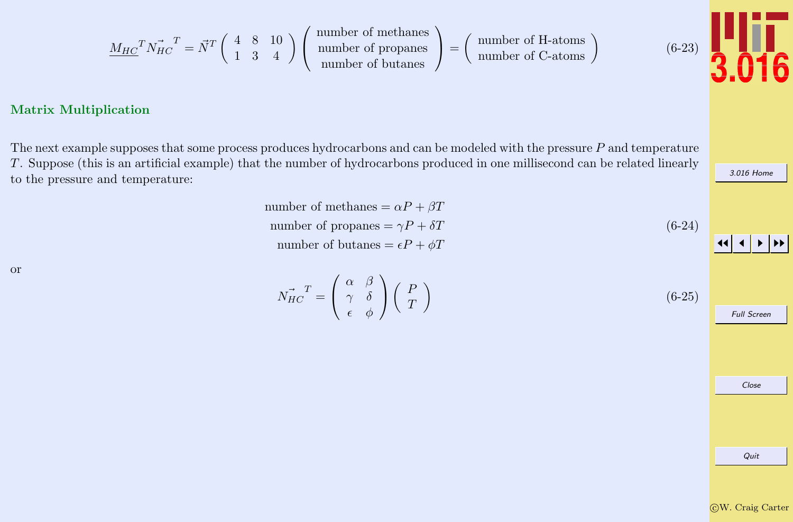$$
\underline{M_{HC}}^T \vec{N_{HC}}^T = \vec{N}^T \begin{pmatrix} 4 & 8 & 10 \\ 1 & 3 & 4 \end{pmatrix} \begin{pmatrix} \text{number of methods} \\ \text{number of propag} \\ \text{number of butanes} \end{pmatrix} = \begin{pmatrix} \text{number of H-atoms} \\ \text{number of C-atoms} \end{pmatrix}
$$

#### <span id="page-5-0"></span>Matrix Multiplication

The next example supposes that some process produces hydrocarbons and can be modeled with the pressure P and temperature T. Suppose (this is an artificial example) that the number of hydrocarbons produced in one millisecond can be related linearly to the pressure and temperature:

> number of methanes =  $\alpha P + \beta T$ number of propanes =  $\gamma P + \delta T$ number of butanes =  $\epsilon P + \phi T$ (6-24)

or

 $\vec{N_{HC}}^T =$  $\sqrt{ }$  $\left\vert \right\vert$  $\alpha \beta$  $\gamma$  δ  $\epsilon \quad \phi$  $\setminus$  $\perp$  $\left($  F T  $\setminus$ (6-25)



[3.016 Home](http://pruffle.mit.edu/3.016-2012/)

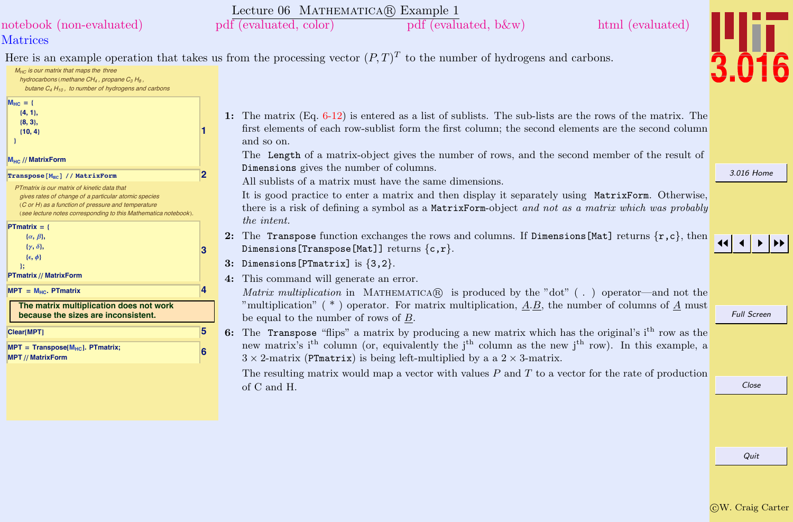<span id="page-6-0"></span>

|                                                                                                                                                                                                                                                    | Lecture 06 MATHEMATICA(R) Example 1                                                                                                                                                                                                                                                                                               |                    |
|----------------------------------------------------------------------------------------------------------------------------------------------------------------------------------------------------------------------------------------------------|-----------------------------------------------------------------------------------------------------------------------------------------------------------------------------------------------------------------------------------------------------------------------------------------------------------------------------------|--------------------|
| notebook (non-evaluated)                                                                                                                                                                                                                           | pdf (evaluated, color)<br>html (evaluated)<br>pdf (evaluated, b&w)                                                                                                                                                                                                                                                                |                    |
| <b>Matrices</b>                                                                                                                                                                                                                                    |                                                                                                                                                                                                                                                                                                                                   |                    |
| $M_{HC}$ is our matrix that maps the three<br>hydrocarbons (methane $CH_4$ , propane $C_3 H_8$ ,<br>butane $C_4 H_{10}$ , to number of hydrogens and carbons                                                                                       | Here is an example operation that takes us from the processing vector $(P,T)^T$ to the number of hydrogens and carbons.                                                                                                                                                                                                           |                    |
| $M_{HC} = {$<br>${4, 1},$<br>$\{8, 3\},\$<br>$\{10, 4\}$<br>M <sub>HC</sub> // MatrixForm                                                                                                                                                          | 1: The matrix $(Eq. 6-12)$ is entered as a list of sublists. The sub-lists are the rows of the matrix. The<br>first elements of each row-sublist form the first column; the second elements are the second column<br>and so on.<br>The Length of a matrix-object gives the number of rows, and the second member of the result of |                    |
| 2<br>$\lceil$ Transpose $\lceil M_{\text{HC}} \rceil$ // MatrixForm                                                                                                                                                                                | Dimensions gives the number of columns.                                                                                                                                                                                                                                                                                           | 3.016 Home         |
| PTmatrix is our matrix of kinetic data that<br>gives rates of change of a particular atomic species<br>(C or H) as a function of pressure and temperature<br>(see lecture notes corresponding to this Mathematica notebook)<br><b>PTmatrix</b> = { | All sublists of a matrix must have the same dimensions.<br>It is good practice to enter a matrix and then display it separately using MatrixForm. Otherwise,<br>there is a risk of defining a symbol as a MatrixForm-object and not as a matrix which was probably<br>the <i>intent</i> .                                         |                    |
| $\{\alpha, \beta\},\$<br>$\{\gamma, \delta\},\$<br>3                                                                                                                                                                                               | 2: The Transpose function exchanges the rows and columns. If Dimensions [Mat] returns $\{r, c\}$ , then<br>Dimensions [Transpose [Mat]] returns $\{c,r\}$ .                                                                                                                                                                       |                    |
| $\{\epsilon, \phi\}$<br>$\mathcal{E}$                                                                                                                                                                                                              | 3: Dimensions [PTmatrix] is $\{3,2\}$ .                                                                                                                                                                                                                                                                                           |                    |
| <b>PTmatrix // MatrixForm</b><br>$MPT = M_{HC}$ . PTmatrix                                                                                                                                                                                         | 4: This command will generate an error.                                                                                                                                                                                                                                                                                           |                    |
| The matrix multiplication does not work<br>because the sizes are inconsistent.                                                                                                                                                                     | Matrix multiplication in MATHEMATICA( $\widehat{R}$ ) is produced by the "dot" (.) operator—and not the<br>"multiplication" (*) operator. For matrix multiplication, $A.B$ , the number of columns of $A$ must<br>be equal to the number of rows of $B$ .                                                                         | <b>Full Screen</b> |
| 5<br>Clear[MPT]<br>$MPT = Transpose[MHC]$ . PTmatrix;                                                                                                                                                                                              | The Transpose "flips" a matrix by producing a new matrix which has the original's i <sup>th</sup> row as the<br>6:<br>new matrix's i <sup>th</sup> column (or, equivalently the j <sup>th</sup> column as the new j <sup>th</sup> row). In this example, a                                                                        |                    |
| 6<br><b>MPT</b> // MatrixForm                                                                                                                                                                                                                      | $3 \times 2$ -matrix (PTmatrix) is being left-multiplied by a a $2 \times 3$ -matrix.                                                                                                                                                                                                                                             |                    |
|                                                                                                                                                                                                                                                    | The resulting matrix would map a vector with values $P$ and $T$ to a vector for the rate of production<br>of C and H.                                                                                                                                                                                                             | Close              |
|                                                                                                                                                                                                                                                    |                                                                                                                                                                                                                                                                                                                                   |                    |
|                                                                                                                                                                                                                                                    |                                                                                                                                                                                                                                                                                                                                   |                    |
|                                                                                                                                                                                                                                                    |                                                                                                                                                                                                                                                                                                                                   | Quit               |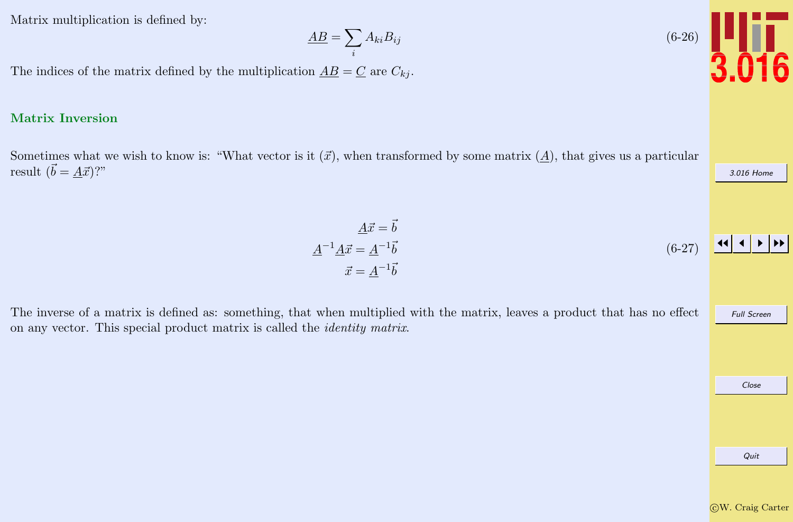<span id="page-7-0"></span>Matrix multiplication is defined by:

$$
\underline{AB} = \sum_i A_{ki} B_{ij}
$$

The indices of the matrix defined by the multiplication  $\underline{AB} = \underline{C}$  are  $C_{kj}$ .

#### Matrix Inversion

Sometimes what we wish to know is: "What vector is it  $(\vec{x})$ , when transformed by some matrix  $(A)$ , that gives us a particular result  $(\vec{b} = \underline{A}\vec{x})$ ?"

The inverse of a matrix is defined as: something, that when multiplied with the matrix, leaves a product that has no effect on any vector. This special product matrix is called the identity matrix.

Full Screen

c W. Craig Carter

Quit

Close

[3.016 Home](http://pruffle.mit.edu/3.016-2012/)

JJ J I II



$$
\underline{A}\vec{x} = \vec{b}
$$
  

$$
\underline{A}^{-1}\underline{A}\vec{x} = \underline{A}^{-1}\vec{b}
$$
  

$$
\vec{x} = \underline{A}^{-1}\vec{b}
$$
 (6-27)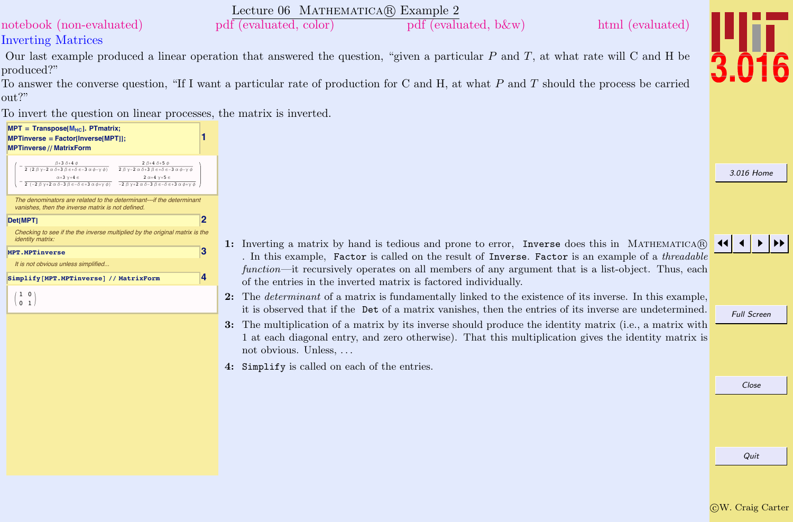Lecture 06 MATHEMATICA(R) Example 2

<span id="page-8-0"></span>[notebook \(non-evaluated\)](http://pruffle.mit.edu/3.016-2012/Notebooks/L06/Lecture-06.nb) [pdf \(evaluated, color\)](http://pruffle.mit.edu/3.016-2012/pdf/L06/Lecture-06-2-COL.pdf) [pdf \(evaluated, b&w\)](http://pruffle.mit.edu/3.016-2012/pdf/L06/Lecture-06-2-BW.pdf) [html \(evaluated\)](http://pruffle.mit.edu/3.016-2012/html/Lecture-06/HTMLLinks/index_2.html)

## Inverting Matrices

Our last example produced a linear operation that answered the question, "given a particular  $P$  and  $T$ , at what rate will C and H be produced?"

To answer the converse question, "If I want a particular rate of production for C and H, at what P and T should the process be carried out?"

To invert the question on linear processes, the matrix is inverted.

#### **1**  $MPT = Transpose[M<sub>HC</sub>].$  **PTmatrix;**  $MPTinverse = Factor[Inverse]$ **MPTinverse** // MatrixForm  $-\frac{\beta+3\,\delta+4\,\phi}{2\,\left(2\,\beta\,\gamma-2\,\alpha\,\delta+3\,\beta\,\varepsilon+\delta\,\varepsilon-3\,\alpha\,\phi-\gamma\,\phi\right)} \qquad \frac{2\,\beta+4\,\delta+5\,\phi}{2\,\beta\,\gamma-2\,\alpha\,\delta+3\,\beta\,\varepsilon+\delta\,\varepsilon-3\,\alpha\,\phi-\gamma\,\phi}$ 2  $\beta$ +4  $\delta$ +5  $\phi$  $-\frac{\alpha+3\ \gamma+4\ \epsilon}{2\ \left(-2\ \beta\ \gamma+2\ \alpha\ \delta-3\ \beta\ \epsilon-\delta\ \epsilon+3\ \alpha\ \phi+\gamma\ \phi\right)} \quad \frac{2\ \alpha+4\ \gamma+5\ \epsilon}{-2\ \beta\ \gamma+2\ \alpha\ \delta-3\ \beta\ \epsilon-\delta\ \epsilon+3\ \alpha\ \phi+\gamma\ \phi}$ 2  $\alpha+4$   $\gamma+5$   $\in$ The denominators are related to the determinant---if the determinant vanishes, then the inverse matrix is not defined. **Det@MPT<sup>D</sup> 2** [Checking to see if the the inverse multiplied by the original matrix is the](http://pruffle.mit.edu/3.016-2012/html/Lecture-06/HTMLLinks/index_2.html) identity matrix **MPT.MPTinverse 3** It is not obvious unless simplified. **Simplify@MPT.MPTinverse<sup>D</sup> êê MatrixForm 4**  $/1 0$  $\begin{array}{c} 0 & 1 \end{array}$

1: Inverting a matrix by hand is tedious and prone to error, Inverse does this in MATHEMATICA $\circledR$ . In this example, Factor is called on the result of Inverse. Factor is an example of a *threadable* function—it recursively operates on all members of any argument that is a list-object. Thus, each of the entries in the inverted matrix is factored individually.

2: The *determinant* of a matrix is fundamentally linked to the existence of its inverse. In this example, it is observed that if the Det of a matrix vanishes, then the entries of its inverse are undetermined.

- 3: The multiplication of a matrix by its inverse should produce the identity matrix (i.e., a matrix with 1 at each diagonal entry, and zero otherwise). That this multiplication gives the identity matrix is not obvious. Unless, . . .
- 4: Simplify is called on each of the entries.



[3.016 Home](http://pruffle.mit.edu/3.016-2012/)

## JJ J I II

Full Screen

Close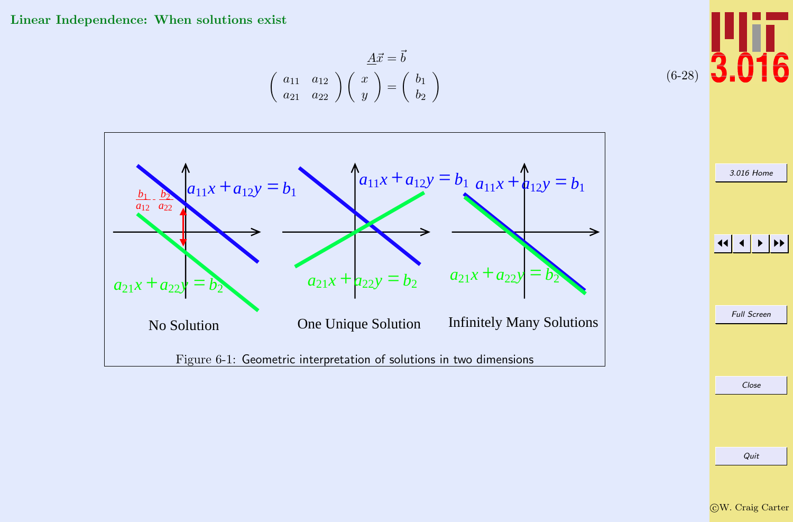<span id="page-9-0"></span>Linear Independence: When solutions exist

$$
\underline{A}\vec{x} = \vec{b}
$$
  

$$
\begin{pmatrix} a_{11} & a_{12} \\ a_{21} & a_{22} \end{pmatrix} \begin{pmatrix} x \\ y \end{pmatrix} = \begin{pmatrix} b_1 \\ b_2 \end{pmatrix}
$$



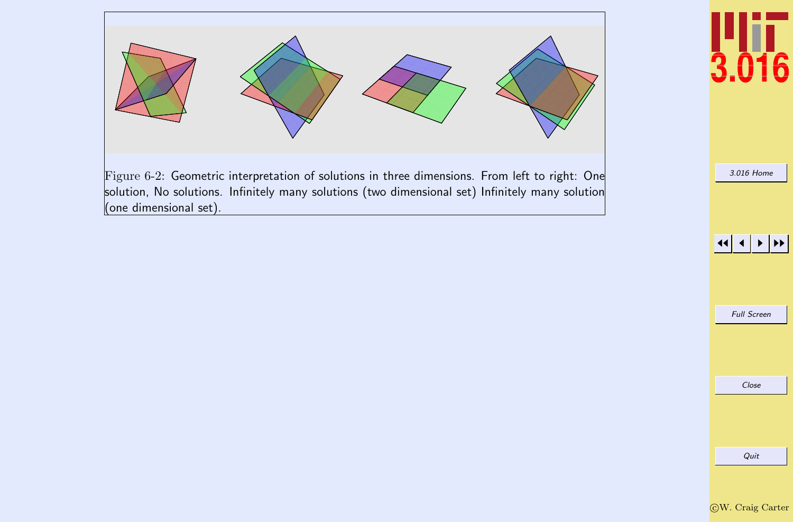

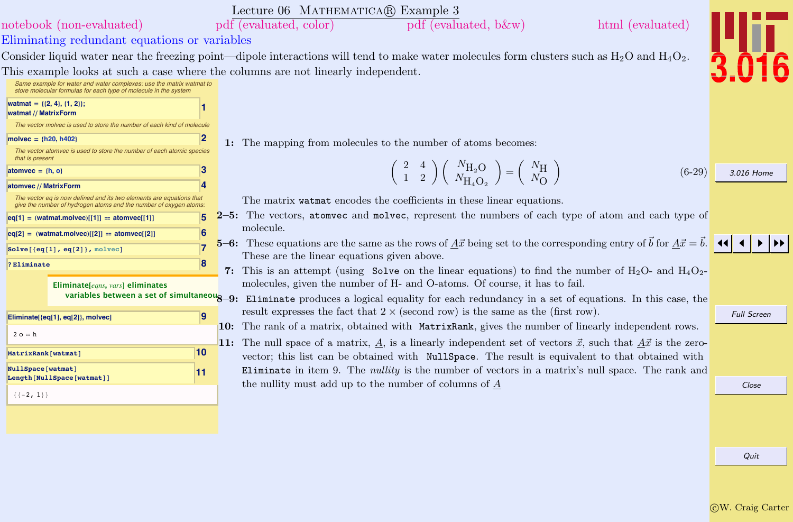<span id="page-11-0"></span>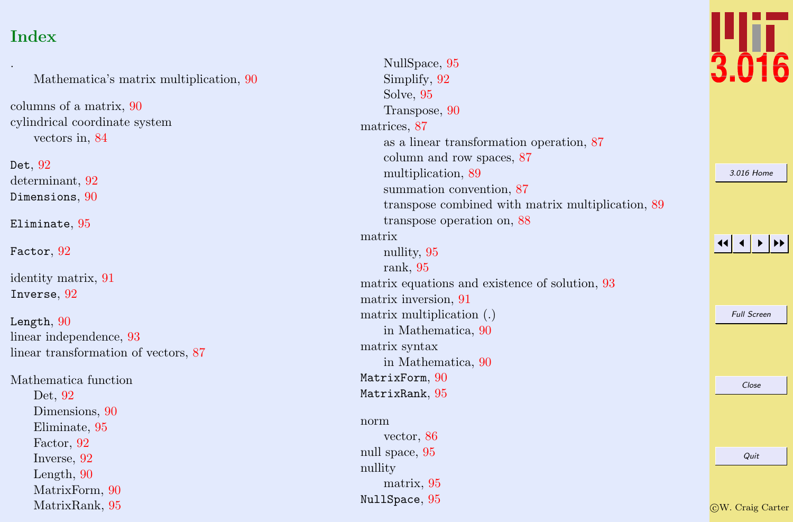# Index

. Mathematica's matrix multiplication, [90](#page-6-0) columns of a matrix, [90](#page-6-0) cylindrical coordinate system vectors in, [84](#page-0-0) Det,  $92\,$  $92\,$ determinant, [92](#page-8-0)  $D$ imensions,  $90$ Eliminate , [95](#page-11-0) Factor,  $92$ identity matrix, [91](#page-7-0) Inverse , [92](#page-8-0)  $L$ ength,  $90$ linear independence, [93](#page-9-0) linear transformation of vectors, [87](#page-3-0) Mathematica function Det, [92](#page-8-0) Dimensions, [90](#page-6-0) Eliminate, [95](#page-11-0) Factor, [92](#page-8-0) Inverse, [92](#page-8-0) Length, [90](#page-6-0) MatrixForm, [90](#page-6-0)

MatrixRank, [95](#page-11-0)

| NullSpace, 95                                     |  |
|---------------------------------------------------|--|
| Simplify, 92                                      |  |
| Solve, 95                                         |  |
| Transpose, 90                                     |  |
| matrices, 87                                      |  |
| as a linear transformation operation, 87          |  |
| column and row spaces, 87                         |  |
| multiplication, 89                                |  |
| summation convention, 87                          |  |
| transpose combined with matrix multiplication, 89 |  |
| transpose operation on, 88                        |  |
| matrix                                            |  |
| nullity, 95                                       |  |
| rank, 95                                          |  |
| matrix equations and existence of solution, 93    |  |
| matrix inversion, 91                              |  |
| matrix multiplication (.)                         |  |
| in Mathematica, 90                                |  |
| matrix syntax                                     |  |
| in Mathematica, 90                                |  |
| MatrixForm, 90                                    |  |
| MatrixRank, 95                                    |  |
|                                                   |  |
| norm                                              |  |
| vector, 86                                        |  |
| null space, 95                                    |  |
| nullity                                           |  |
| matrix, 95                                        |  |
| NullSpace, 95                                     |  |



[3.016 Home](http://pruffle.mit.edu/3.016-2012/)

11

 $\blacktriangleleft$ I II

Full Screen

Close

c W. Craig Carter